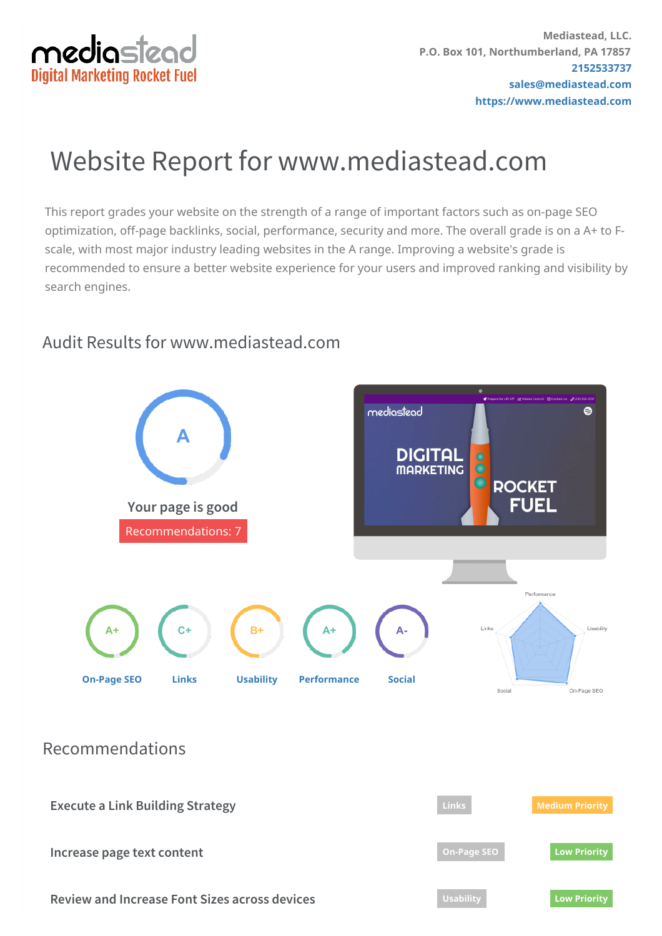

# Website Report for www.mediastead.com

This report grades your website on the strength of a range of important factors such as on-page SEO optimization, off-page backlinks, social, performance, security and more. The overall grade is on a A+ to Fscale, with most major industry leading websites in the A range. Improving a website's grade is recommended to ensure a better website experience for your users and improved ranking and visibility by search engines.

#### $\ddot{\mathbf{e}}$ mediastead **A DIGITAL MARKETING ROCKET** FUEL **Your page is good** [Recommendations:](#page-1-0) 7 **Performance** Usability **C+ B+** Links **A+ A+ A-[On-Page](#page-2-0) SEO [Links](#page-5-0) [Usability](#page-7-0) [Performance](#page-8-0) [Social](#page-10-0)** On-Page SEO Social

## Audit Results for www.mediastead.com

Recommendations

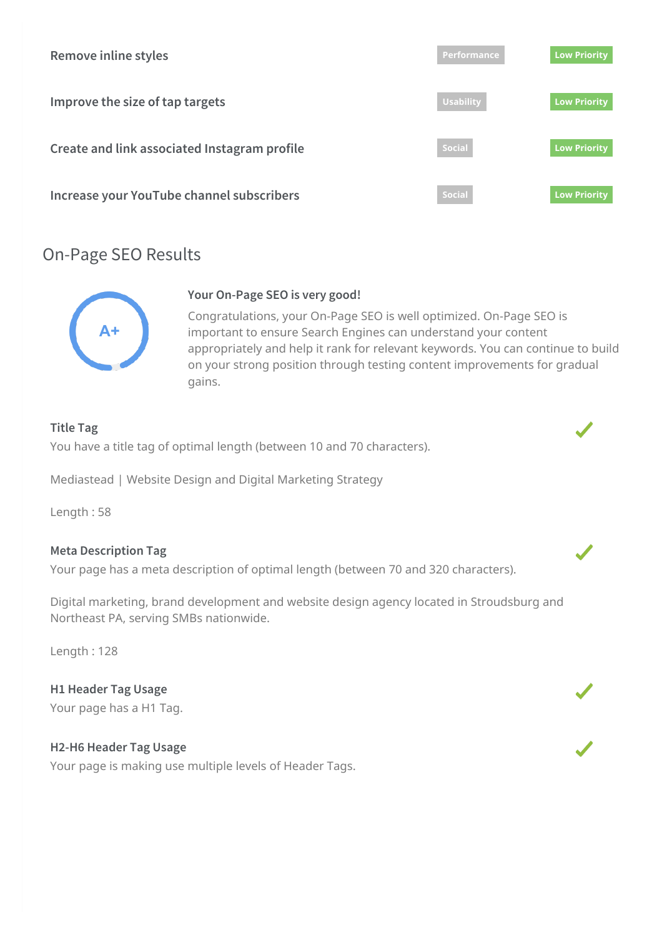<span id="page-1-0"></span>

## On-Page SEO Results



#### **Your On-Page SEO is very good!**

Congratulations, your On-Page SEO is well optimized. On-Page SEO is important to ensure Search Engines can understand your content appropriately and help it rank for relevant keywords. You can continue to build on your strong position through testing content improvements for gradual gains.

#### **Title Tag**

You have a title tag of optimal length (between 10 and 70 characters).

Mediastead | Website Design and Digital Marketing Strategy

Length : 58

#### **Meta Description Tag**

Your page has a meta description of optimal length (between 70 and 320 characters).

Digital marketing, brand development and website design agency located in Stroudsburg and Northeast PA, serving SMBs nationwide.

Length : 128

**H1 Header Tag Usage** Your page has a H1 Tag.

#### **H2-H6 Header Tag Usage**

Your page is making use multiple levels of Header Tags.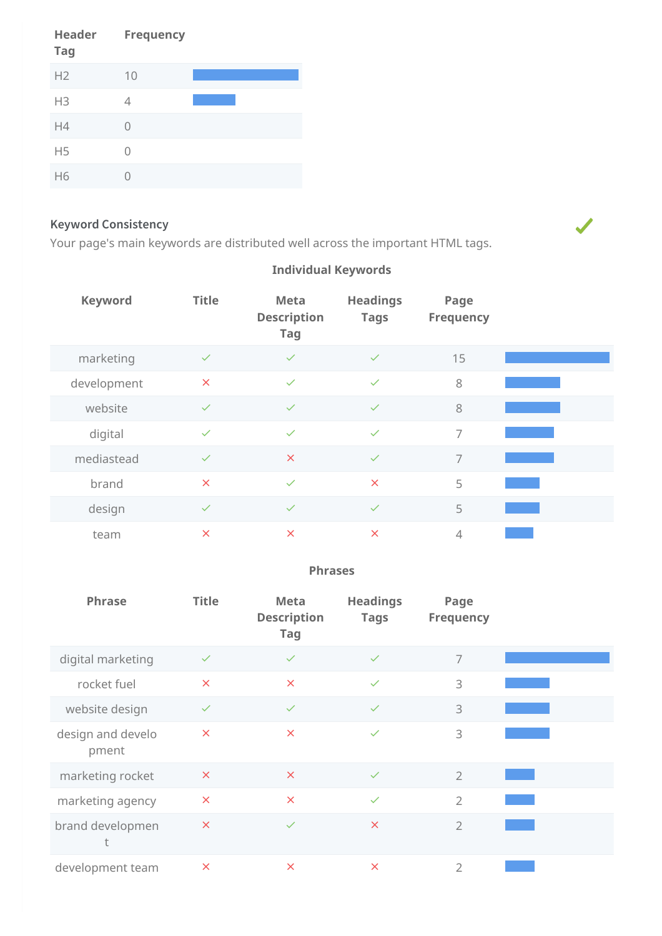<span id="page-2-0"></span>

| Header<br><b>Tag</b> | <b>Frequency</b> |  |
|----------------------|------------------|--|
| H2                   | 10               |  |
| H <sub>3</sub>       | 4                |  |
| H4                   | 0                |  |
| H <sub>5</sub>       | U                |  |
| H6                   |                  |  |

#### **Keyword Consistency**

Your page's main keywords are distributed well across the important HTML tags.

| <b>Keyword</b> | <b>Title</b> | <b>Meta</b><br><b>Description</b><br><b>Tag</b> | <b>Headings</b><br><b>Tags</b> | Page<br><b>Frequency</b> |  |
|----------------|--------------|-------------------------------------------------|--------------------------------|--------------------------|--|
| marketing      | $\checkmark$ | $\checkmark$                                    | $\checkmark$                   | 15                       |  |
| development    | $\times$     | $\checkmark$                                    | $\checkmark$                   | 8                        |  |
| website        | $\checkmark$ | $\checkmark$                                    | $\checkmark$                   | 8                        |  |
| digital        | $\checkmark$ | $\checkmark$                                    | $\checkmark$                   | $\overline{7}$           |  |
| mediastead     | $\checkmark$ | $\times$                                        | $\checkmark$                   | $\overline{7}$           |  |
| brand          | $\times$     | $\checkmark$                                    | $\pmb{\times}$                 | 5                        |  |
| design         | $\checkmark$ | $\checkmark$                                    | $\checkmark$                   | 5                        |  |
| team           | $\times$     | $\times$                                        | $\boldsymbol{\mathsf{x}}$      | $\overline{4}$           |  |

### **Individual Keywords**

#### **Phrases**

| Phrase                     | <b>Title</b>              | <b>Meta</b><br><b>Description</b><br><b>Tag</b> | <b>Headings</b><br><b>Tags</b> | Page<br><b>Frequency</b> |  |
|----------------------------|---------------------------|-------------------------------------------------|--------------------------------|--------------------------|--|
| digital marketing          | $\checkmark$              | $\checkmark$                                    | $\checkmark$                   | 7                        |  |
| rocket fuel                | $\boldsymbol{\mathsf{x}}$ | $\boldsymbol{\mathsf{x}}$                       | $\checkmark$                   | 3                        |  |
| website design             | $\checkmark$              | $\checkmark$                                    | $\checkmark$                   | 3                        |  |
| design and develo<br>pment | $\times$                  | $\times$                                        | $\checkmark$                   | 3                        |  |
| marketing rocket           | $\pmb{\times}$            | $\times$                                        | $\checkmark$                   | $\overline{2}$           |  |
| marketing agency           | $\boldsymbol{\mathsf{x}}$ | $\times$                                        | $\checkmark$                   | $\overline{2}$           |  |
| brand developmen<br>t      | $\pmb{\times}$            | $\checkmark$                                    | $\times$                       | $\overline{2}$           |  |
| development team           | $\times$                  | $\times$                                        | $\boldsymbol{\times}$          | $\overline{2}$           |  |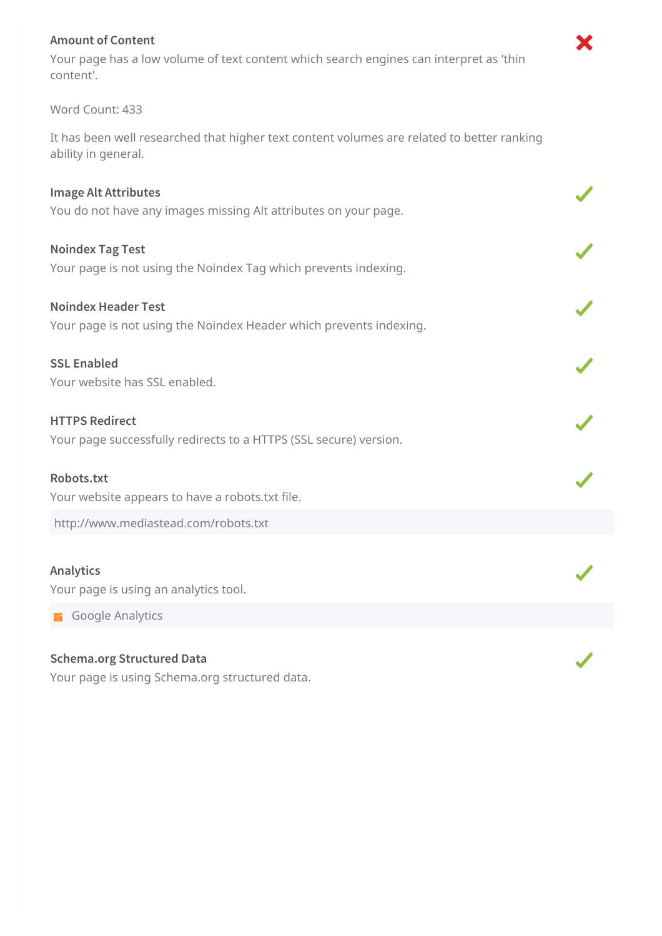#### **Amount of Content**

Your page has a low volume of text content which search engines can interpret as 'thin content'.

Х

#### Word Count: 433

It has been well researched that higher text content volumes are related to better ranking ability in general.

| <b>Image Alt Attributes</b><br>You do not have any images missing Alt attributes on your page.   |  |
|--------------------------------------------------------------------------------------------------|--|
| <b>Noindex Tag Test</b><br>Your page is not using the Noindex Tag which prevents indexing.       |  |
| <b>Noindex Header Test</b><br>Your page is not using the Noindex Header which prevents indexing. |  |
| <b>SSL Enabled</b><br>Your website has SSL enabled.                                              |  |
| <b>HTTPS Redirect</b><br>Your page successfully redirects to a HTTPS (SSL secure) version.       |  |
| Robots.txt<br>Your website appears to have a robots.txt file.                                    |  |
| http://www.mediastead.com/robots.txt                                                             |  |
| <b>Analytics</b><br>Your page is using an analytics tool.                                        |  |
| <b>Google Analytics</b><br>$\sim$ $\sim$                                                         |  |
| <b>Schema.org Structured Data</b>                                                                |  |

## Your page is using Schema.org structured data.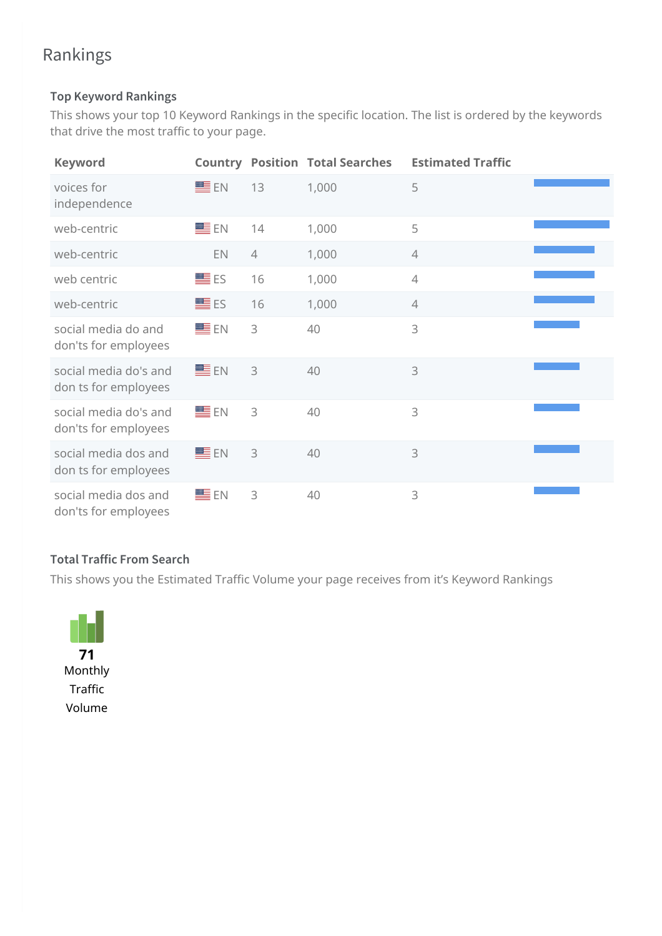## Rankings

### **Top Keyword Rankings**

This shows your top 10 Keyword Rankings in the specific location. The list is ordered by the keywords that drive the most traffic to your page.

| <b>Keyword</b>                                |                   |                | <b>Country Position Total Searches</b> | <b>Estimated Traffic</b> |  |
|-----------------------------------------------|-------------------|----------------|----------------------------------------|--------------------------|--|
| voices for<br>independence                    | EE EN             | 13             | 1,000                                  | 5                        |  |
| web-centric                                   | ■EN               | 14             | 1,000                                  | 5                        |  |
| web-centric                                   | EN                | $\overline{4}$ | 1,000                                  | $\overline{4}$           |  |
| web centric                                   | $\blacksquare$ ES | 16             | 1,000                                  | $\overline{4}$           |  |
| web-centric                                   | $\blacksquare$ ES | 16             | 1,000                                  | $\overline{4}$           |  |
| social media do and<br>don'ts for employees   | ■EN               | 3              | 40                                     | 3                        |  |
| social media do's and<br>don ts for employees | ■EN               | 3              | 40                                     | 3                        |  |
| social media do's and<br>don'ts for employees | EE EN             | 3              | 40                                     | 3                        |  |
| social media dos and<br>don ts for employees  | ■EN               | 3              | 40                                     | 3                        |  |
| social media dos and<br>don'ts for employees  | ■EN               | 3              | 40                                     | 3                        |  |

### **Total Traffic From Search**

This shows you the Estimated Traffic Volume your page receives from it's Keyword Rankings

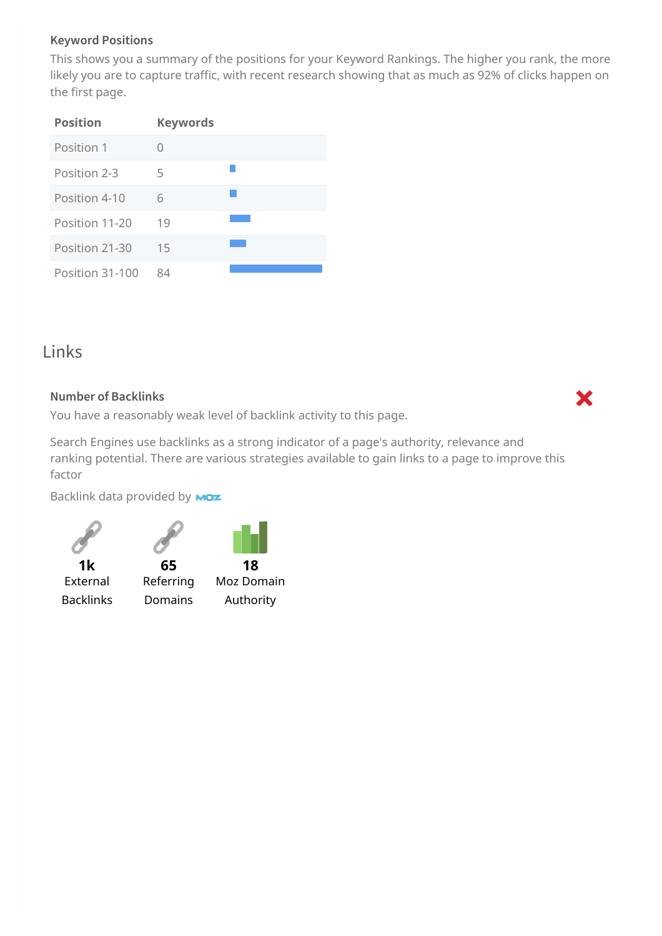#### **Keyword Positions**

This shows you a summary of the positions for your Keyword Rankings. The higher you rank, the more likely you are to capture traffic, with recent research showing that as much as 92% of clicks happen on the first page.

| <b>Position</b> | <b>Keywords</b> |  |
|-----------------|-----------------|--|
| Position 1      |                 |  |
| Position 2-3    | 5               |  |
| Position 4-10   | 6               |  |
| Position 11-20  | 19              |  |
| Position 21-30  | 15              |  |
| Position 31-100 | 84              |  |

## <span id="page-5-0"></span>Links

#### **Number of Backlinks**

You have a reasonably weak level of backlink activity to this page.

Search Engines use backlinks as a strong indicator of a page's authority, relevance and ranking potential. There are various strategies available to gain links to a page to improve this factor

Backlink data provided by **MOZ** 

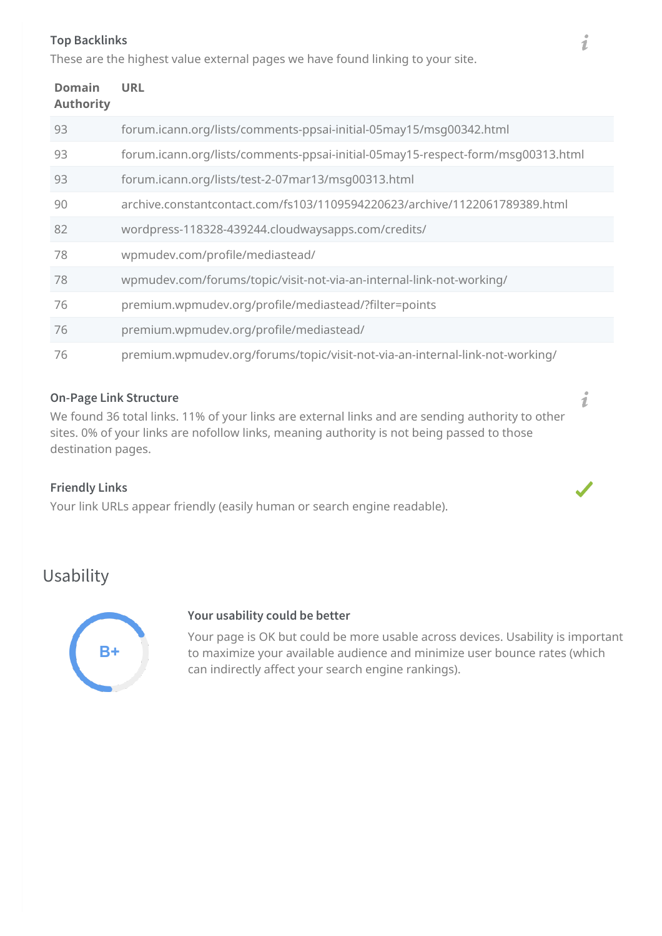#### **Top Backlinks**

These are the highest value external pages we have found linking to your site.

| <b>Domain</b><br><b>Authority</b> | <b>URL</b>                                                                      |
|-----------------------------------|---------------------------------------------------------------------------------|
| 93                                | forum.icann.org/lists/comments-ppsai-initial-05may15/msg00342.html              |
| 93                                | forum.icann.org/lists/comments-ppsai-initial-05may15-respect-form/msg00313.html |
| 93                                | forum.icann.org/lists/test-2-07mar13/msq00313.html                              |
| 90                                | archive.constantcontact.com/fs103/1109594220623/archive/1122061789389.html      |
| 82                                | wordpress-118328-439244.cloudwaysapps.com/credits/                              |
| 78                                | wpmudev.com/profile/mediastead/                                                 |
| 78                                | wpmudev.com/forums/topic/visit-not-via-an-internal-link-not-working/            |
| 76                                | premium.wpmudev.org/profile/mediastead/?filter=points                           |
| 76                                | premium.wpmudev.org/profile/mediastead/                                         |
| 76                                | premium.wpmudev.org/forums/topic/visit-not-via-an-internal-link-not-working/    |

#### **On-Page Link Structure**

We found 36 total links. 11% of your links are external links and are sending authority to other sites. 0% of your links are nofollow links, meaning authority is not being passed to those destination pages.

#### **Friendly Links**

Your link URLs appear friendly (easily human or search engine readable).

## Usability



#### **Your usability could be better**

Your page is OK but could be more usable across devices. Usability is important to maximize your available audience and minimize user bounce rates (which can indirectly affect your search engine rankings).

 $\boldsymbol{i}$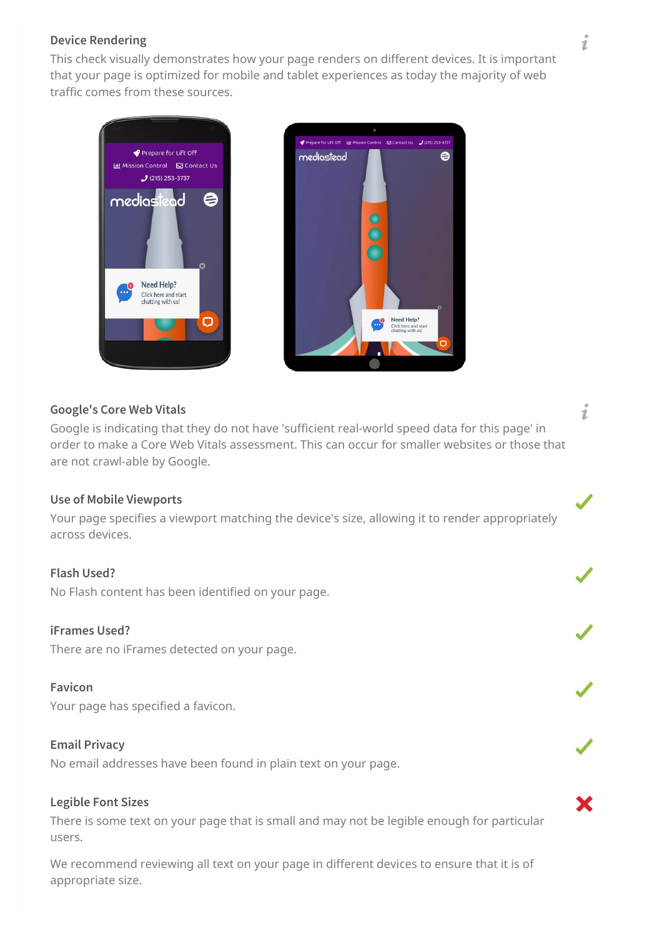#### <span id="page-7-0"></span>**Device Rendering**

This check visually demonstrates how your page renders on different devices. It is important that your page is optimized for mobile and tablet experiences as today the majority of web traffic comes from these sources.





#### **Google's Core Web Vitals**

Google is indicating that they do not have 'sufficient real-world speed data for this page' in order to make a Core Web Vitals assessment. This can occur for smaller websites or those that are not crawl-able by Google.

#### **Use of Mobile Viewports**

Your page specifies a viewport matching the device's size, allowing it to render appropriately across devices.

#### **Flash Used?**

No Flash content has been identified on your page.

#### **iFrames Used?**

There are no iFrames detected on your page.

#### **Favicon**

Your page has specified a favicon.

#### **Email Privacy**

No email addresses have been found in plain text on your page.

#### **Legible Font Sizes**

There is some text on your page that is small and may not be legible enough for particular users.

We recommend reviewing all text on your page in different devices to ensure that it is of appropriate size.

i

i

X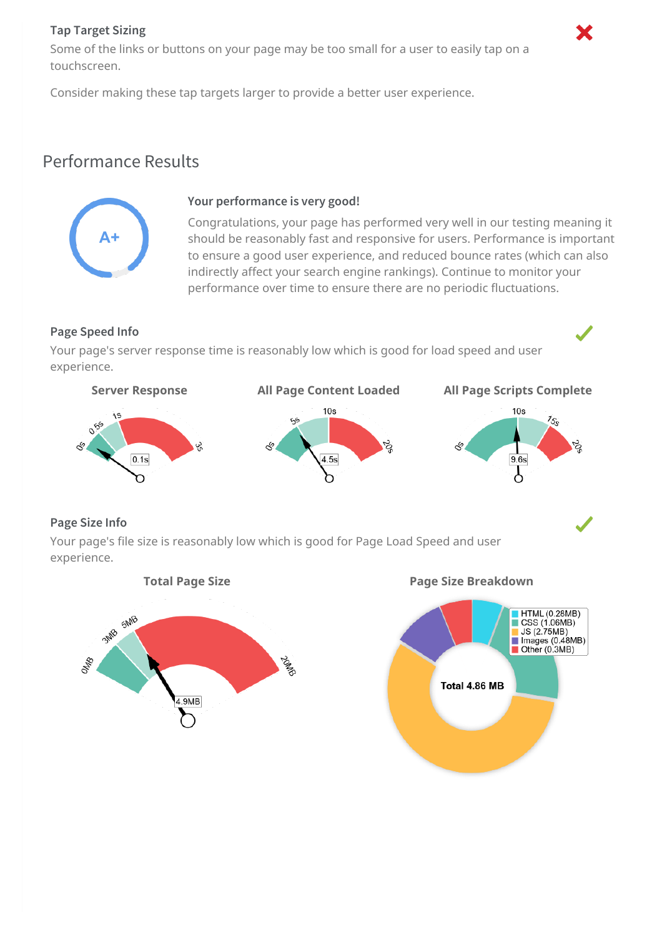#### **Tap Target Sizing**

Some of the links or buttons on your page may be too small for a user to easily tap on a touchscreen.

Consider making these tap targets larger to provide a better user experience.

## <span id="page-8-0"></span>Performance Results



#### **Your performance is very good!**

Congratulations, your page has performed very well in our testing meaning it should be reasonably fast and responsive for users. Performance is important to ensure a good user experience, and reduced bounce rates (which can also indirectly affect your search engine rankings). Continue to monitor your performance over time to ensure there are no periodic fluctuations.

### **Page Speed Info**

Your page's server response time is reasonably low which is good for load speed and user experience.







#### **Page Size Info**

Your page's file size is reasonably low which is good for Page Load Speed and user experience.



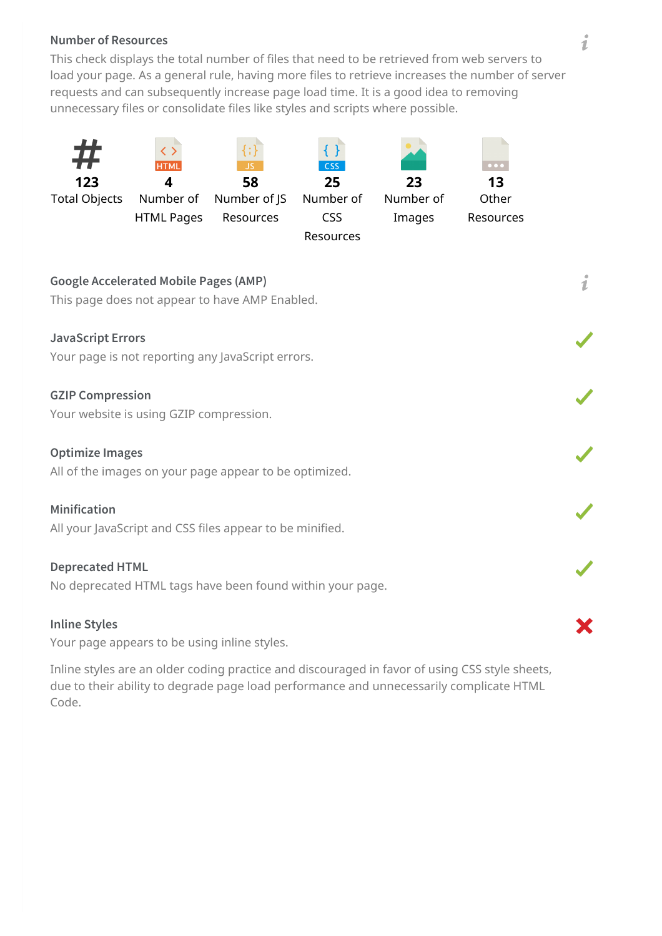#### **Number of Resources**

This check displays the total number of files that need to be retrieved from web servers to load your page. As a general rule, having more files to retrieve increases the number of server requests and can subsequently increase page load time. It is a good idea to removing unnecessary files or consolidate files like styles and scripts where possible.



**JavaScript Errors** Your page is not reporting any JavaScript errors.

#### **GZIP Compression**

Your website is using GZIP compression.

#### **Optimize Images**

All of the images on your page appear to be optimized.

#### **Minification**

All your JavaScript and CSS files appear to be minified.

#### **Deprecated HTML**

No deprecated HTML tags have been found within your page.

#### **Inline Styles**

Your page appears to be using inline styles.

Inline styles are an older coding practice and discouraged in favor of using CSS style sheets, due to their ability to degrade page load performance and unnecessarily complicate HTML Code.

ž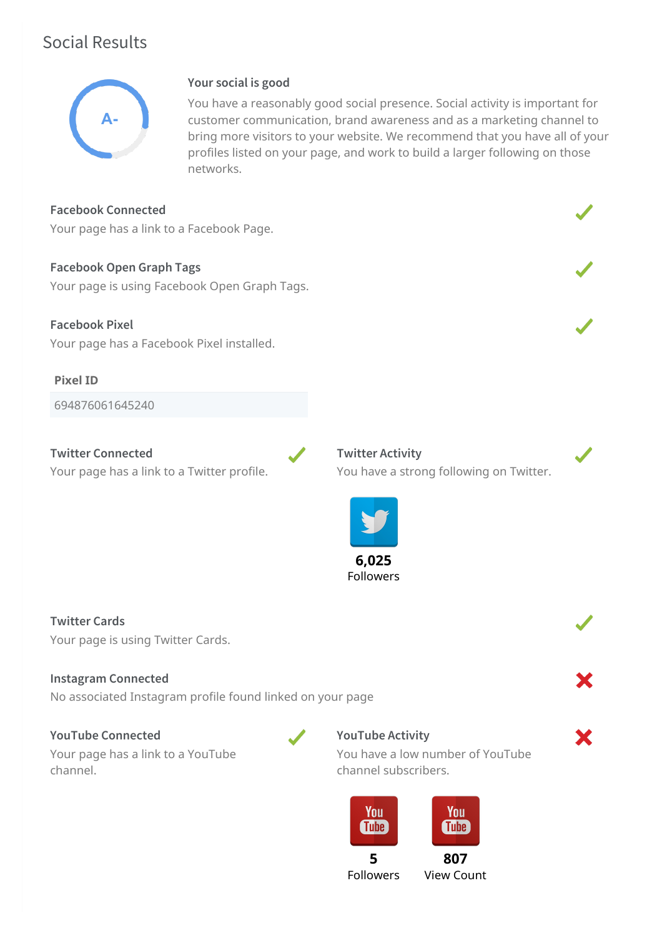## <span id="page-10-0"></span>Social Results



### **Your social is good**

You have a reasonably good social presence. Social activity is important for customer communication, brand awareness and as a marketing channel to bring more visitors to your website. We recommend that you have all of your profiles listed on your page, and work to build a larger following on those networks.

**Facebook Connected**

Your page has a link to a Facebook Page.

**Facebook Open Graph Tags** Your page is using Facebook Open Graph Tags.

**Facebook Pixel** Your page has a Facebook Pixel installed.

**Pixel ID**

694876061645240

**Twitter Connected** Your page has a link to a Twitter profile. **Twitter Activity** You have a strong following on Twitter.



**Twitter Cards** Your page is using Twitter Cards.

#### **Instagram Connected**

No associated Instagram profile found linked on your page

#### **YouTube Connected**

Your page has a link to a YouTube channel.

#### **YouTube Activity**

You have a low number of YouTube channel subscribers.



**5** Followers

**807** View Count